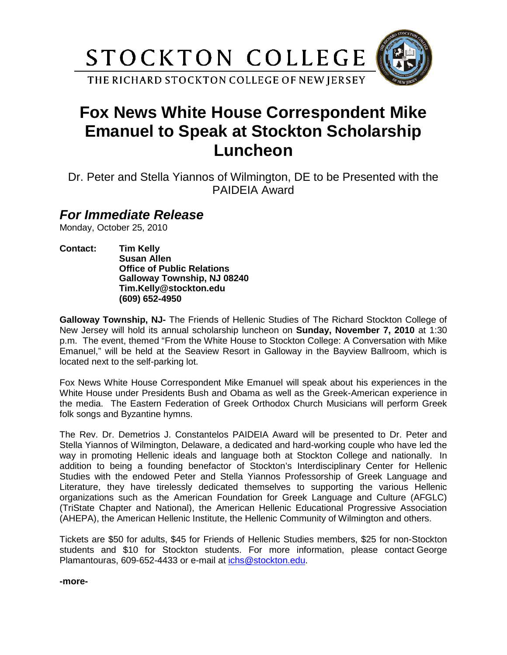

## **Fox News White House Correspondent Mike Emanuel to Speak at Stockton Scholarship Luncheon**

Dr. Peter and Stella Yiannos of Wilmington, DE to be Presented with the PAIDEIA Award

## *For Immediate Release*

Monday, October 25, 2010

**Contact: Tim Kelly Susan Allen Office of Public Relations Galloway Township, NJ 08240 Tim.Kelly@stockton.edu (609) 652-4950**

**Galloway Township, NJ-** The Friends of Hellenic Studies of The Richard Stockton College of New Jersey will hold its annual scholarship luncheon on **Sunday, November 7, 2010** at 1:30 p.m. The event, themed "From the White House to Stockton College: A Conversation with Mike Emanuel," will be held at the Seaview Resort in Galloway in the Bayview Ballroom, which is located next to the self-parking lot.

Fox News White House Correspondent Mike Emanuel will speak about his experiences in the White House under Presidents Bush and Obama as well as the Greek-American experience in the media. The Eastern Federation of Greek Orthodox Church Musicians will perform Greek folk songs and Byzantine hymns.

The Rev. Dr. Demetrios J. Constantelos PAIDEIA Award will be presented to Dr. Peter and Stella Yiannos of Wilmington, Delaware, a dedicated and hard-working couple who have led the way in promoting Hellenic ideals and language both at Stockton College and nationally. In addition to being a founding benefactor of Stockton's Interdisciplinary Center for Hellenic Studies with the endowed Peter and Stella Yiannos Professorship of Greek Language and Literature, they have tirelessly dedicated themselves to supporting the various Hellenic organizations such as the American Foundation for Greek Language and Culture (AFGLC) (TriState Chapter and National), the American Hellenic Educational Progressive Association (AHEPA), the American Hellenic Institute, the Hellenic Community of Wilmington and others.

Tickets are \$50 for adults, \$45 for Friends of Hellenic Studies members, \$25 for non-Stockton students and \$10 for Stockton students. For more information, please contact George Plamantouras, 609-652-4433 or e-mail at [ichs@stockton.edu.](mailto:ichs@stockton.edu)

**-more-**